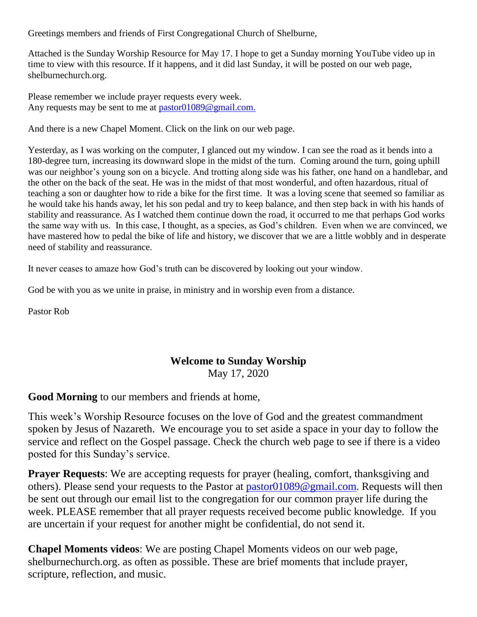Greetings members and friends of First Congregational Church of Shelburne,

Attached is the Sunday Worship Resource for May 17. I hope to get a Sunday morning YouTube video up in time to view with this resource. If it happens, and it did last Sunday, it will be posted on our web page, shelburnechurch.org.

Please remember we include prayer requests every week. Any requests may be sent to me at [pastor01089@gmail.com.](mailto:pastor01089@gmail.com)

And there is a new Chapel Moment. Click on the link on our web page.

Yesterday, as I was working on the computer, I glanced out my window. I can see the road as it bends into a 180-degree turn, increasing its downward slope in the midst of the turn. Coming around the turn, going uphill was our neighbor's young son on a bicycle. And trotting along side was his father, one hand on a handlebar, and the other on the back of the seat. He was in the midst of that most wonderful, and often hazardous, ritual of teaching a son or daughter how to ride a bike for the first time. It was a loving scene that seemed so familiar as he would take his hands away, let his son pedal and try to keep balance, and then step back in with his hands of stability and reassurance. As I watched them continue down the road, it occurred to me that perhaps God works the same way with us. In this case, I thought, as a species, as God's children. Even when we are convinced, we have mastered how to pedal the bike of life and history, we discover that we are a little wobbly and in desperate need of stability and reassurance.

It never ceases to amaze how God's truth can be discovered by looking out your window.

God be with you as we unite in praise, in ministry and in worship even from a distance.

Pastor Rob

#### **Welcome to Sunday Worship** May 17, 2020

**Good Morning** to our members and friends at home,

This week's Worship Resource focuses on the love of God and the greatest commandment spoken by Jesus of Nazareth. We encourage you to set aside a space in your day to follow the service and reflect on the Gospel passage. Check the church web page to see if there is a video posted for this Sunday's service.

**Prayer Requests:** We are accepting requests for prayer (healing, comfort, thanksgiving and others). Please send your requests to the Pastor at [pastor01089@gmail.com.](mailto:pastor01089@gmail.com) Requests will then be sent out through our email list to the congregation for our common prayer life during the week. PLEASE remember that all prayer requests received become public knowledge. If you are uncertain if your request for another might be confidential, do not send it.

**Chapel Moments videos**: We are posting Chapel Moments videos on our web page, shelburnechurch.org. as often as possible. These are brief moments that include prayer, scripture, reflection, and music.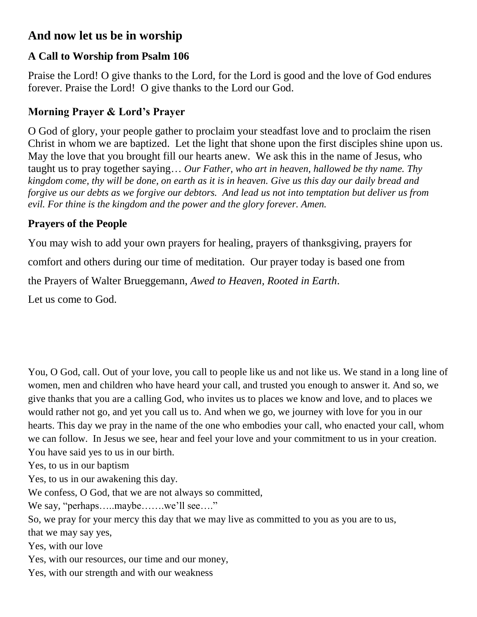### **And now let us be in worship**

# **A Call to Worship from Psalm 106**

Praise the Lord! O give thanks to the Lord, for the Lord is good and the love of God endures forever. Praise the Lord! O give thanks to the Lord our God.

# **Morning Prayer & Lord's Prayer**

O God of glory, your people gather to proclaim your steadfast love and to proclaim the risen Christ in whom we are baptized. Let the light that shone upon the first disciples shine upon us. May the love that you brought fill our hearts anew. We ask this in the name of Jesus, who taught us to pray together saying… *Our Father, who art in heaven, hallowed be thy name. Thy kingdom come, thy will be done, on earth as it is in heaven. Give us this day our daily bread and forgive us our debts as we forgive our debtors. And lead us not into temptation but deliver us from evil. For thine is the kingdom and the power and the glory forever. Amen.*

# **Prayers of the People**

You may wish to add your own prayers for healing, prayers of thanksgiving, prayers for comfort and others during our time of meditation. Our prayer today is based one from the Prayers of Walter Brueggemann, *Awed to Heaven, Rooted in Earth*. Let us come to God.

You, O God, call. Out of your love, you call to people like us and not like us. We stand in a long line of women, men and children who have heard your call, and trusted you enough to answer it. And so, we give thanks that you are a calling God, who invites us to places we know and love, and to places we would rather not go, and yet you call us to. And when we go, we journey with love for you in our hearts. This day we pray in the name of the one who embodies your call, who enacted your call, whom we can follow. In Jesus we see, hear and feel your love and your commitment to us in your creation. You have said yes to us in our birth.

Yes, to us in our baptism

Yes, to us in our awakening this day.

We confess, O God, that we are not always so committed,

We say, "perhaps.....maybe......we'll see...."

So, we pray for your mercy this day that we may live as committed to you as you are to us,

that we may say yes,

Yes, with our love

Yes, with our resources, our time and our money,

Yes, with our strength and with our weakness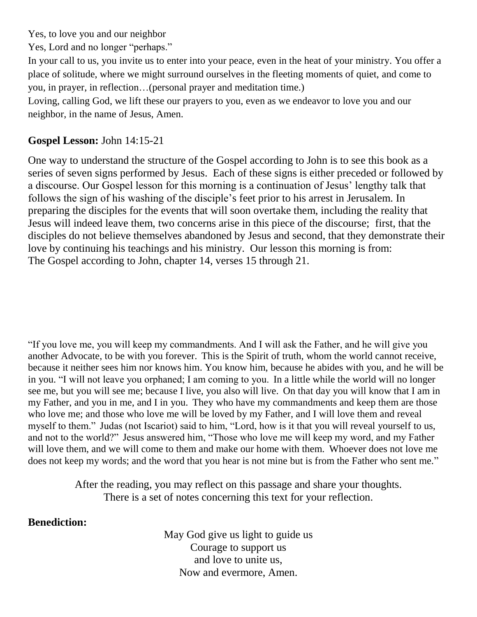Yes, to love you and our neighbor

Yes, Lord and no longer "perhaps."

In your call to us, you invite us to enter into your peace, even in the heat of your ministry. You offer a place of solitude, where we might surround ourselves in the fleeting moments of quiet, and come to you, in prayer, in reflection…(personal prayer and meditation time.)

Loving, calling God, we lift these our prayers to you, even as we endeavor to love you and our neighbor, in the name of Jesus, Amen.

#### **Gospel Lesson:** John 14:15-21

One way to understand the structure of the Gospel according to John is to see this book as a series of seven signs performed by Jesus. Each of these signs is either preceded or followed by a discourse. Our Gospel lesson for this morning is a continuation of Jesus' lengthy talk that follows the sign of his washing of the disciple's feet prior to his arrest in Jerusalem. In preparing the disciples for the events that will soon overtake them, including the reality that Jesus will indeed leave them, two concerns arise in this piece of the discourse; first, that the disciples do not believe themselves abandoned by Jesus and second, that they demonstrate their love by continuing his teachings and his ministry. Our lesson this morning is from: The Gospel according to John, chapter 14, verses 15 through 21.

"If you love me, you will keep my commandments. And I will ask the Father, and he will give you another Advocate, to be with you forever. This is the Spirit of truth, whom the world cannot receive, because it neither sees him nor knows him. You know him, because he abides with you, and he will be in you. "I will not leave you orphaned; I am coming to you. In a little while the world will no longer see me, but you will see me; because I live, you also will live. On that day you will know that I am in my Father, and you in me, and I in you. They who have my commandments and keep them are those who love me; and those who love me will be loved by my Father, and I will love them and reveal myself to them." Judas (not Iscariot) said to him, "Lord, how is it that you will reveal yourself to us, and not to the world?" Jesus answered him, "Those who love me will keep my word, and my Father will love them, and we will come to them and make our home with them. Whoever does not love me does not keep my words; and the word that you hear is not mine but is from the Father who sent me."

> After the reading, you may reflect on this passage and share your thoughts. There is a set of notes concerning this text for your reflection.

#### **Benediction:**

May God give us light to guide us Courage to support us and love to unite us, Now and evermore, Amen.